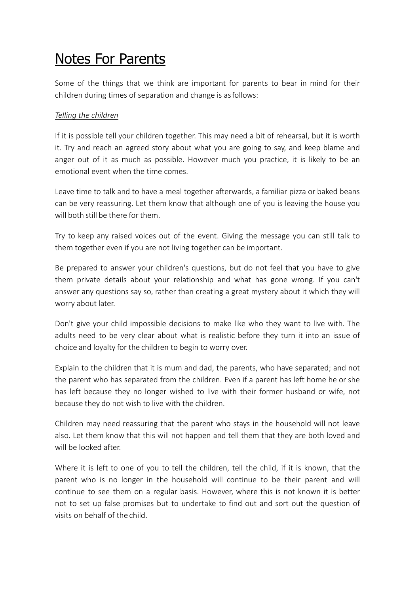# Notes For Parents

Some of the things that we think are important for parents to bear in mind for their children during times of separation and change is asfollows:

## *Telling the children*

If it is possible tell your children together. This may need a bit of rehearsal, but it is worth it. Try and reach an agreed story about what you are going to say, and keep blame and anger out of it as much as possible. However much you practice, it is likely to be an emotional event when the time comes.

Leave time to talk and to have a meal together afterwards, a familiar pizza or baked beans can be very reassuring. Let them know that although one of you is leaving the house you will both still be there for them.

Try to keep any raised voices out of the event. Giving the message you can still talk to them together even if you are not living together can be important.

Be prepared to answer your children's questions, but do not feel that you have to give them private details about your relationship and what has gone wrong. If you can't answer any questions say so, rather than creating a great mystery about it which they will worry about later.

Don't give your child impossible decisions to make like who they want to live with. The adults need to be very clear about what is realistic before they turn it into an issue of choice and loyalty for the children to begin to worry over.

Explain to the children that it is mum and dad, the parents, who have separated; and not the parent who has separated from the children. Even if a parent has left home he or she has left because they no longer wished to live with their former husband or wife, not because they do not wish to live with the children.

Children may need reassuring that the parent who stays in the household will not leave also. Let them know that this will not happen and tell them that they are both loved and will be looked after.

Where it is left to one of you to tell the children, tell the child, if it is known, that the parent who is no longer in the household will continue to be their parent and will continue to see them on a regular basis. However, where this is not known it is better not to set up false promises but to undertake to find out and sort out the question of visits on behalf of the child.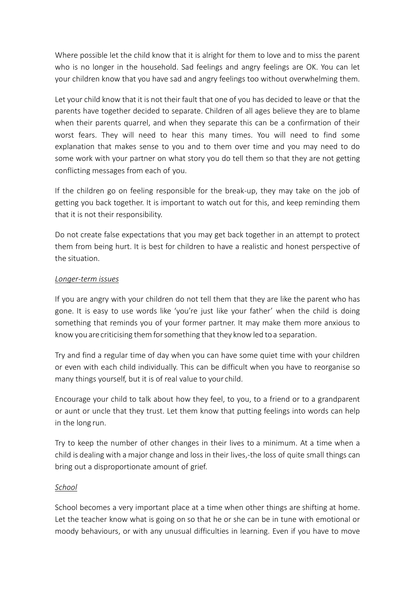Where possible let the child know that it is alright for them to love and to miss the parent who is no longer in the household. Sad feelings and angry feelings are OK. You can let your children know that you have sad and angry feelings too without overwhelming them.

Let your child know that it is not their fault that one of you has decided to leave or that the parents have together decided to separate. Children of all ages believe they are to blame when their parents quarrel, and when they separate this can be a confirmation of their worst fears. They will need to hear this many times. You will need to find some explanation that makes sense to you and to them over time and you may need to do some work with your partner on what story you do tell them so that they are not getting conflicting messages from each of you.

If the children go on feeling responsible for the break-up, they may take on the job of getting you back together. It is important to watch out for this, and keep reminding them that it is not their responsibility.

Do not create false expectations that you may get back together in an attempt to protect them from being hurt. It is best for children to have a realistic and honest perspective of the situation.

#### *Longer-term issues*

If you are angry with your children do not tell them that they are like the parent who has gone. It is easy to use words like 'you're just like your father' when the child is doing something that reminds you of your former partner. It may make them more anxious to knowyou arecriticising them forsomething that they knowled toa separation.

Try and find a regular time of day when you can have some quiet time with your children or even with each child individually. This can be difficult when you have to reorganise so many things yourself, but it is of real value to your child.

Encourage your child to talk about how they feel, to you, to a friend or to a grandparent or aunt or uncle that they trust. Let them know that putting feelings into words can help in the long run.

Try to keep the number of other changes in their lives to a minimum. At a time when a child is dealing with a major change and lossin their lives,-the loss of quite small things can bring out a disproportionate amount of grief.

### *School*

School becomes a very important place at a time when other things are shifting at home. Let the teacher know what is going on so that he or she can be in tune with emotional or moody behaviours, or with any unusual difficulties in learning. Even if you have to move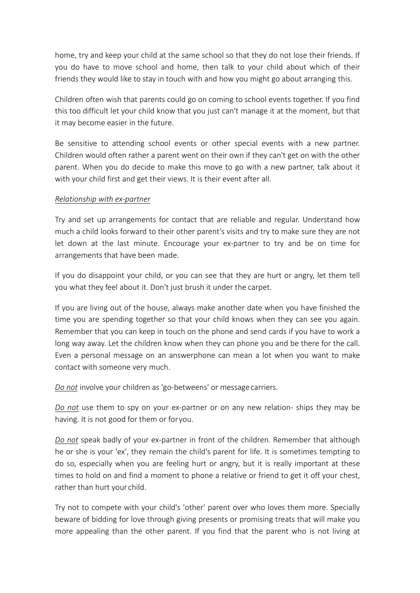home, try and keep your child at the same school so that they do not lose their friends. If you do have to move school and home, then talk to your child about which of their friends they would like to stay in touch with and how you might go about arranging this.

Children often wish that parents could go on coming to school events together. If you find this too difficult let your child know that you just can't manage it at the moment, but that it may become easier in the future.

Be sensitive to attending school events or other special events with a new partner. Children would often rather a parent went on their own if they can't get on with the other parent. When you do decide to make this move to go with a new partner, talk about it with your child first and get their views. It is their event after all.

#### *Relationship with ex-partner*

Try and set up arrangements for contact that are reliable and regular. Understand how much a child looks forward to their other parent's visits and try to make sure they are not let down at the last minute. Encourage your ex-partner to try and be on time for arrangements that have been made.

If you do disappoint your child, or you can see that they are hurt or angry, let them tell you what they feel about it. Don't just brush it under the carpet.

If you are living out of the house, always make another date when you have finished the time you are spending together so that your child knows when they can see you again. Remember that you can keep in touch on the phone and send cards if you have to work a long way away. Let the children know when they can phone you and be there for the call. Even a personal message on an answerphone can mean a lot when you want to make contact with someone very much.

*Do not* involve your children as 'go-betweens' or message carriers.

*Do not* use them to spy on your ex-partner or on any new relation- ships they may be having. It is not good for them or foryou.

*Do not* speak badly of your ex-partner in front of the children. Remember that although he or she is your 'ex', they remain the child's parent for life. It is sometimes tempting to do so, especially when you are feeling hurt or angry, but it is really important at these times to hold on and find a moment to phone a relative or friend to get it off your chest, rather than hurt your child.

Try not to compete with your child's 'other' parent over who loves them more. Specially beware of bidding for love through giving presents or promising treats that will make you more appealing than the other parent. If you find that the parent who is not living at